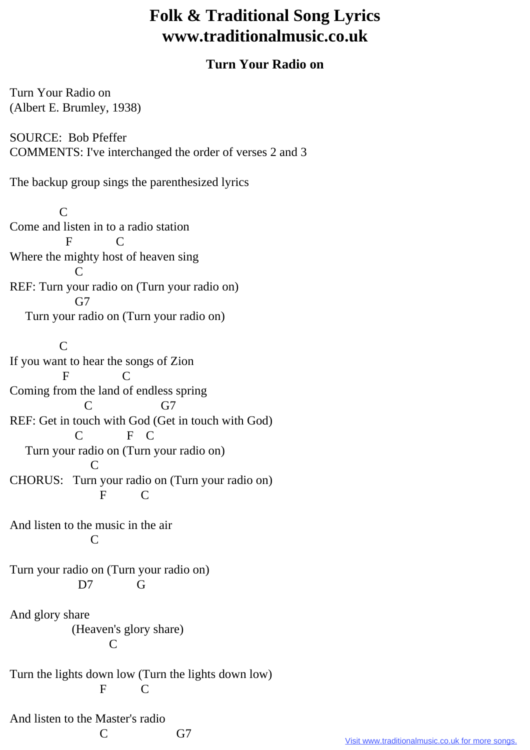## **Folk & Traditional Song Lyrics www.traditionalmusic.co.uk**

## **Turn Your Radio on**

Turn Your Radio on (Albert E. Brumley, 1938)

SOURCE: Bob Pfeffer COMMENTS: I've interchanged the order of verses 2 and 3

The backup group sings the parenthesized lyrics

 C Come and listen in to a radio station F C Where the mighty host of heaven sing C REF: Turn your radio on (Turn your radio on)  $G7$ Turn your radio on (Turn your radio on)

 $\overline{C}$ If you want to hear the songs of Zion F C Coming from the land of endless spring C G7 REF: Get in touch with God (Get in touch with God) F C Turn your radio on (Turn your radio on) C CHORUS: Turn your radio on (Turn your radio on) F C

And listen to the music in the air C

Turn your radio on (Turn your radio on) D7 G

And glory share (Heaven's glory share) C

Turn the lights down low (Turn the lights down low) F C

And listen to the Master's radio

C G7